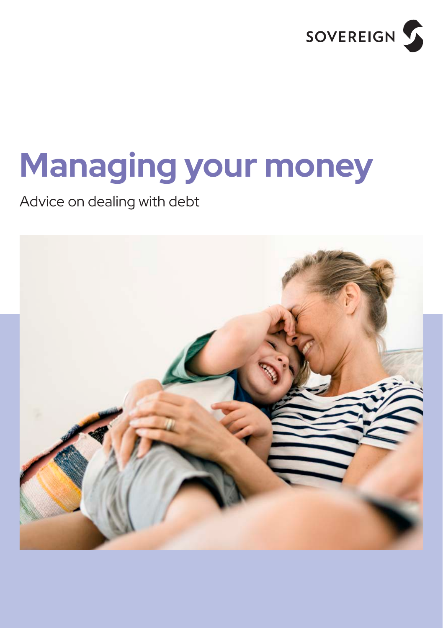

# **Managing your money**

Advice on dealing with debt

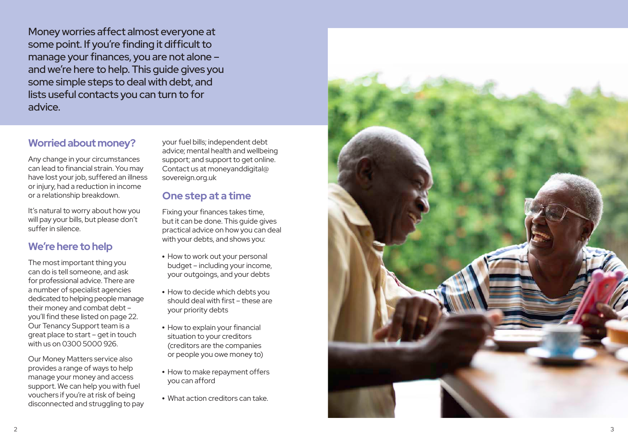Money worries affect almost everyone at some point. If you're finding it difficult to manage your finances, you are not alone – and we're here to help. This guide gives you some simple steps to deal with debt, and lists useful contacts you can turn to for advice.

### **Worried about money?**

Any change in your circumstances can lead to financial strain. You may have lost your job, suffered an illness or injury, had a reduction in income or a relationship breakdown.

It's natural to worry about how you will pay your bills, but please don't suffer in silence.

### **We're here to help**

The most important thing you can do is tell someone, and ask for professional advice. There are a number of specialist agencies dedicated to helping people manage their money and combat debt – you'll find these listed on page 22. Our Tenancy Support team is a great place to start – get in touch with us on 0300 5000 926.

Our Money Matters service also provides a range of ways to help manage your money and access support. We can help you with fuel vouchers if you're at risk of being disconnected and struggling to pay

your fuel bills; independent debt advice; mental health and wellbeing support; and support to get online. Contact us at monevanddigital@ sovereign.org.uk

### **One step at a time**

Fixing your finances takes time, but it can be done. This guide gives practical advice on how you can deal with your debts, and shows you:

- How to work out your personal budget – including your income, your outgoings, and your debts
- How to decide which debts you should deal with first – these are your priority debts
- How to explain your financial situation to your creditors (creditors are the companies or people you owe money to)
- How to make repayment offers you can afford
- What action creditors can take.

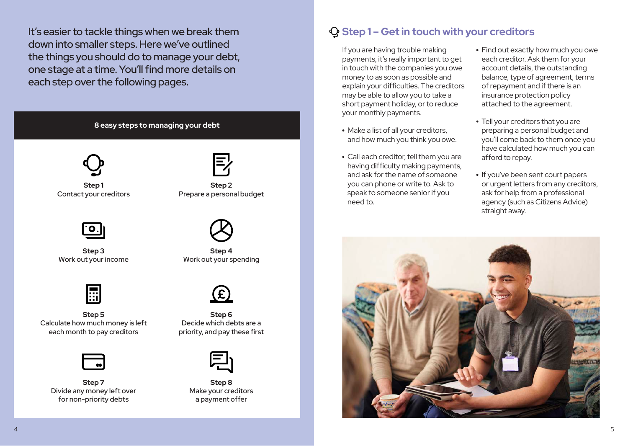It's easier to tackle things when we break them down into smaller steps. Here we've outlined the things you should do to manage your debt, one stage at a time. You'll find more details on each step over the following pages.







**Step 3** Work out your income



**Step 5** Calculate how much money is left each month to pay creditors



**Step 7** Divide any money left over for non-priority debts



**Step 2** Prepare a personal budget



**Step 4** Work out your spending



**Step 6** Decide which debts are a priority, and pay these first



**Step 8** Make your creditors a payment offer

### **Step 1 – Get in touch with your creditors**

If you are having trouble making payments, it's really important to get in touch with the companies you owe money to as soon as possible and explain your difficulties. The creditors may be able to allow you to take a short payment holiday, or to reduce your monthly payments.

- Make a list of all your creditors, and how much you think you owe.
- Call each creditor, tell them you are having difficulty making payments, and ask for the name of someone you can phone or write to. Ask to speak to someone senior if you need to.
- Find out exactly how much you owe each creditor. Ask them for your account details, the outstanding balance, type of agreement, terms of repayment and if there is an insurance protection policy attached to the agreement.
- Tell your creditors that you are preparing a personal budget and you'll come back to them once you have calculated how much you can afford to repay.
- If you've been sent court papers or urgent letters from any creditors, ask for help from a professional agency (such as Citizens Advice) straight away.

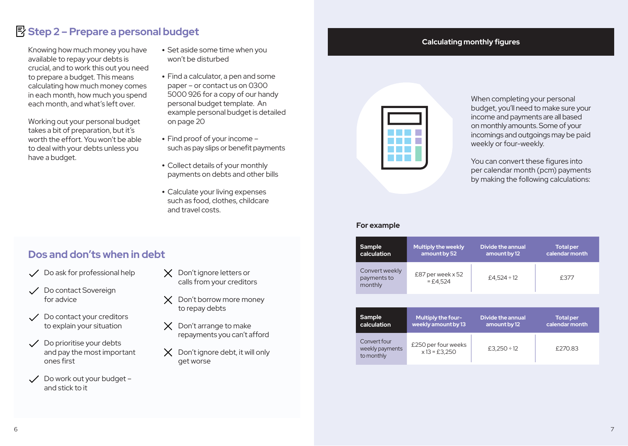### **Step 2 – Prepare a personal budget**

Knowing how much money you have available to repay your debts is crucial, and to work this out you need to prepare a budget. This means calculating how much money comes in each month, how much you spend each month, and what's left over.

Working out your personal budget takes a bit of preparation, but it's worth the effort. You won't be able to deal with your debts unless you have a budget.

- Set aside some time when you won't be disturbed
- Find a calculator, a pen and some paper – or contact us on 0300 5000 926 for a copy of our handy personal budget template. An example personal budget is detailed on page 20
- Find proof of your income such as pay slips or benefit payments
- Collect details of your monthly payments on debts and other bills
- Calculate your living expenses such as food, clothes, childcare and travel costs.

### **Calculating monthly figures**



When completing your personal budget, you'll need to make sure your income and payments are all based on monthly amounts. Some of your incomings and outgoings may be paid weekly or four-weekly.

You can convert these figures into per calendar month (pcm) payments by making the following calculations:

### **For example**

| Sample                                   | <b>Multiply the weekly</b>        | Divide the annual | <b>Total per</b> |
|------------------------------------------|-----------------------------------|-------------------|------------------|
| calculation                              | amount by 52                      | amount by 12      | calendar month   |
| Convert weekly<br>payments to<br>monthly | £87 per week $x$ 52<br>$= £4.524$ | £4.524 ÷ 12       | £377             |

| Sample                                        | Multiply the four-                     | <b>Divide the annual</b> | <b>Total per</b> |
|-----------------------------------------------|----------------------------------------|--------------------------|------------------|
| calculation                                   | weekly amount by 13                    | amount by 12             | calendar month   |
| Convert four<br>weekly payments<br>to monthly | £250 per four weeks<br>$x 13 = £3.250$ | £3.250 ÷ 12              | £270.83          |

### **Dos and don'ts when in debt**

- $\sqrt{\phantom{a}}$  Do ask for professional help
- Do contact Sovereign for advice
- Do contact your creditors to explain your situation
- $\checkmark$  Do prioritise your debts and pay the most important ones first
- Do work out your budget and stick to it
- $\times$  Don't ignore letters or calls from your creditors
- X Don't borrow more money to repay debts
- $\times$  Don't arrange to make repayments you can't afford
- $\times$  Don't ignore debt, it will only get worse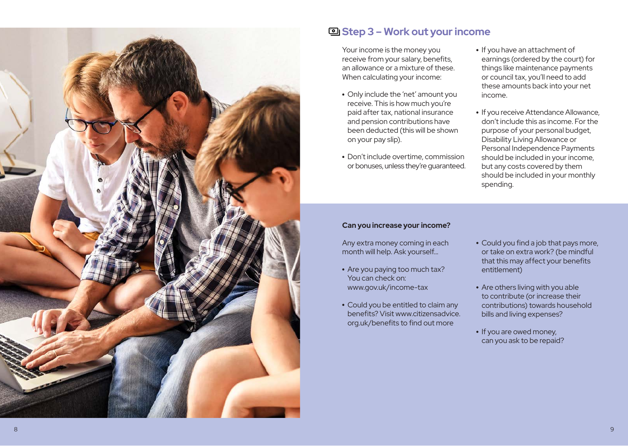

### **Step 3 – Work out your income**

Your income is the money you receive from your salary, benefits, an allowance or a mixture of these. When calculating your income:

- Only include the 'net' amount you receive. This is how much you're paid after tax, national insurance and pension contributions have been deducted (this will be shown on your pay slip).
- Don't include overtime, commission or bonuses, unless they're guaranteed.
- If you have an attachment of earnings (ordered by the court) for things like maintenance payments or council tax, you'll need to add these amounts back into your net income.
- If you receive Attendance Allowance, don't include this as income. For the purpose of your personal budget, Disability Living Allowance or Personal Independence Payments should be included in your income, but any costs covered by them should be included in your monthly spending.

### **Can you increase your income?**

Any extra money coming in each month will help. Ask yourself…

- Are you paying too much tax? You can check on: www.gov.uk/income-tax
- Could you be entitled to claim any benefits? Visit www.citizensadvice. org.uk/benefits to find out more
- Could you find a job that pays more, or take on extra work? (be mindful that this may affect your benefits entitlement)
- Are others living with you able to contribute (or increase their contributions) towards household bills and living expenses?
- If you are owed money, can you ask to be repaid?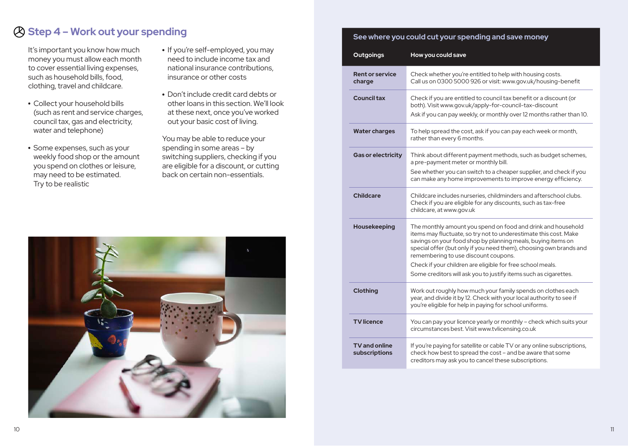### **Step 4 – Work out your spending**

It's important you know how much money you must allow each month to cover essential living expenses, such as household bills, food, clothing, travel and childcare.

- Collect your household bills (such as rent and service charges, council tax, gas and electricity, water and telephone)
- Some expenses, such as your weekly food shop or the amount you spend on clothes or leisure, may need to be estimated. Try to be realistic
- If you're self-employed, you may need to include income tax and national insurance contributions, insurance or other costs
- Don't include credit card debts or other loans in this section. We'll look at these next, once you've worked out your basic cost of living.

You may be able to reduce your spending in some areas – by switching suppliers, checking if you are eligible for a discount, or cutting back on certain non-essentials.



### **See where you could cut your spending and save money**

| <b>Outgoings</b>                      | How you could save                                                                                                                                                                                                                                                                                             |
|---------------------------------------|----------------------------------------------------------------------------------------------------------------------------------------------------------------------------------------------------------------------------------------------------------------------------------------------------------------|
| <b>Rent or service</b><br>charge      | Check whether you're entitled to help with housing costs.<br>Call us on 0300 5000 926 or visit: www.gov.uk/housing-benefit                                                                                                                                                                                     |
| <b>Council tax</b>                    | Check if you are entitled to council tax benefit or a discount (or<br>both). Visit www.gov.uk/apply-for-council-tax-discount<br>Ask if you can pay weekly, or monthly over 12 months rather than 10.                                                                                                           |
| <b>Water charges</b>                  | To help spread the cost, ask if you can pay each week or month,<br>rather than every 6 months.                                                                                                                                                                                                                 |
| <b>Gas or electricity</b>             | Think about different payment methods, such as budget schemes,<br>a pre-payment meter or monthly bill.                                                                                                                                                                                                         |
|                                       | See whether you can switch to a cheaper supplier, and check if you<br>can make any home improvements to improve energy efficiency.                                                                                                                                                                             |
| <b>Childcare</b>                      | Childcare includes nurseries, childminders and afterschool clubs.<br>Check if you are eligible for any discounts, such as tax-free<br>childcare, at www.gov.uk                                                                                                                                                 |
| Housekeeping                          | The monthly amount you spend on food and drink and household<br>items may fluctuate, so try not to underestimate this cost. Make<br>savings on your food shop by planning meals, buying items on<br>special offer (but only if you need them), choosing own brands and<br>remembering to use discount coupons. |
|                                       | Check if your children are eligible for free school meals.<br>Some creditors will ask you to justify items such as cigarettes.                                                                                                                                                                                 |
| Clothing                              | Work out roughly how much your family spends on clothes each<br>year, and divide it by 12. Check with your local authority to see if<br>you're eligible for help in paying for school uniforms.                                                                                                                |
| <b>TV</b> licence                     | You can pay your licence yearly or monthly - check which suits your<br>circumstances best. Visit www.tvlicensing.co.uk                                                                                                                                                                                         |
| <b>TV</b> and online<br>subscriptions | If you're paying for satellite or cable TV or any online subscriptions,<br>check how best to spread the cost - and be aware that some<br>creditors may ask you to cancel these subscriptions.                                                                                                                  |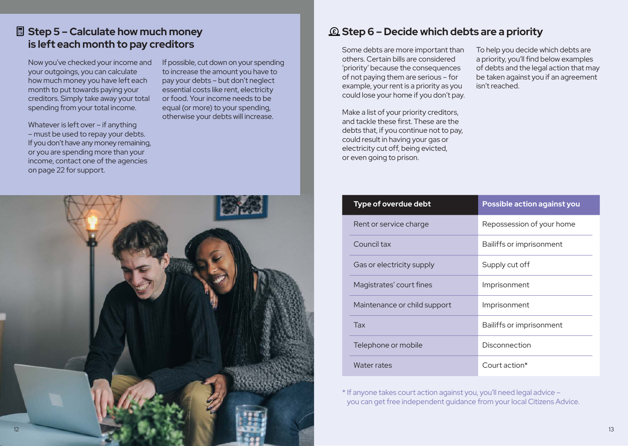### **Step 5 – Calculate how much money is left each month to pay creditors**

Now you've checked your income and your outgoings, you can calculate how much money you have left each month to put towards paying your creditors. Simply take away your total spending from your total income.

Whatever is left over – if anything – must be used to repay your debts. If you don't have any money remaining, or you are spending more than your income, contact one of the agencies on page 22 for support.

If possible, cut down on your spending to increase the amount you have to pay your debts – but don't neglect essential costs like rent, electricity or food. Your income needs to be equal (or more) to your spending, otherwise your debts will increase.



### **Step 6 – Decide which debts are a priority**

Some debts are more important than others. Certain bills are considered 'priority' because the consequences of not paying them are serious – for example, your rent is a priority as you could lose your home if you don't pay.

Make a list of your priority creditors, and tackle these first. These are the debts that, if you continue not to pay, could result in having your gas or electricity cut off, being evicted, or even going to prison.

To help you decide which debts are a priority, you'll find below examples of debts and the legal action that may be taken against you if an agreement isn't reached.

| Type of overdue debt         | Possible action against you |
|------------------------------|-----------------------------|
| Rent or service charge       | Repossession of your home   |
| Council tax                  | Bailiffs or imprisonment    |
| Gas or electricity supply    | Supply cut off              |
| Magistrates' court fines     | Imprisonment                |
| Maintenance or child support | Imprisonment                |
| <b>Tax</b>                   | Bailiffs or imprisonment    |
| Telephone or mobile          | Disconnection               |
| Water rates                  | Court action $*$            |

\* If anyone takes court action against you, you'll need legal advice – you can get free independent guidance from your local Citizens Advice.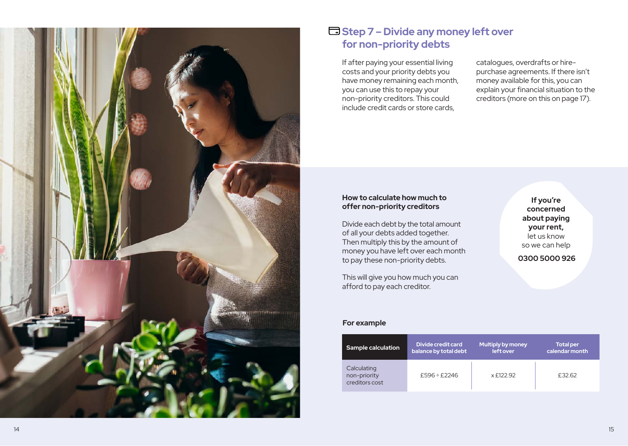

### **Step 7 – Divide any money left over for non-priority debts**

If after paying your essential living costs and your priority debts you have money remaining each month, you can use this to repay your non-priority creditors. This could include credit cards or store cards,

catalogues, overdrafts or hirepurchase agreements. If there isn't money available for this, you can explain your financial situation to the creditors (more on this on page 17).

### **How to calculate how much to offer non-priority creditors**

Divide each debt by the total amount of all your debts added together. Then multiply this by the amount of money you have left over each month to pay these non-priority debts.

This will give you how much you can afford to pay each creditor.

**If you're concerned about paying your rent,**  let us know so we can help

 **0300 5000 926**

### **For example**

| <b>Sample calculation</b>                     | Divide credit card    | <b>Multiply by money</b> | <b>Total per</b> |
|-----------------------------------------------|-----------------------|--------------------------|------------------|
|                                               | balance by total debt | left over                | calendar month   |
| Calculating<br>non-priority<br>creditors cost | £596 ÷ £2246          | x £122.92                | £32.62           |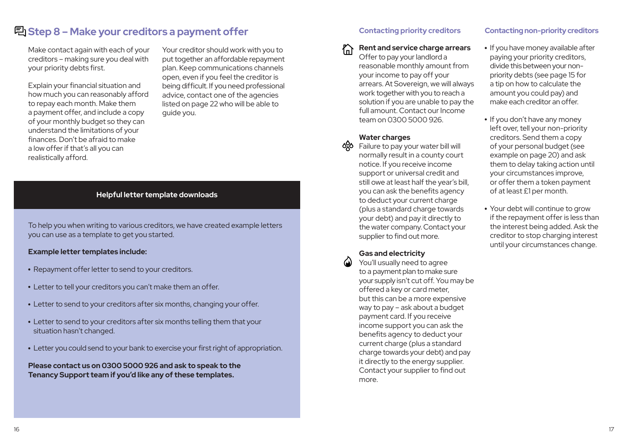### **Step 8 – Make your creditors a payment offer**

Make contact again with each of your creditors – making sure you deal with your priority debts first.

Explain your financial situation and how much you can reasonably afford to repay each month. Make them a payment offer, and include a copy of your monthly budget so they can understand the limitations of your finances. Don't be afraid to make a low offer if that's all you can realistically afford.

Your creditor should work with you to put together an affordable repayment plan. Keep communications channels open, even if you feel the creditor is being difficult. If you need professional advice, contact one of the agencies listed on page 22 who will be able to guide you.

### **Helpful letter template downloads**

To help you when writing to various creditors, we have created example letters you can use as a template to get you started.

#### **Example letter templates include:**

- Repayment offer letter to send to your creditors.
- Letter to tell your creditors you can't make them an offer.
- Letter to send to your creditors after six months, changing your offer.
- Letter to send to your creditors after six months telling them that your situation hasn't changed.
- Letter you could send to your bank to exercise your first right of appropriation.

**Please contact us on 0300 5000 926 and ask to speak to the Tenancy Support team if you'd like any of these templates.**

### **Contacting priority creditors**

**Rent and service charge arrears**

Offer to pay your landlord a reasonable monthly amount from your income to pay off your arrears. At Sovereign, we will always work together with you to reach a solution if you are unable to pay the full amount. Contact our Income team on 0300 5000 926.

### **Water charges**

 $\frac{1}{2}$  Failure to pay your water bill will normally result in a county court notice. If you receive income support or universal credit and still owe at least half the year's bill, you can ask the benefits agency to deduct your current charge (plus a standard charge towards your debt) and pay it directly to the water company. Contact your supplier to find out more.

### **Gas and electricity**

 $\bigcirc$  You'll usually need to agree to a payment plan to make sure your supply isn't cut off. You may be offered a key or card meter, but this can be a more expensive way to pay – ask about a budget payment card. If you receive income support you can ask the benefits agency to deduct your current charge (plus a standard charge towards your debt) and pay it directly to the energy supplier. Contact your supplier to find out more.

### **Contacting non-priority creditors**

- If you have money available after paying your priority creditors, divide this between your nonpriority debts (see page 15 for a tip on how to calculate the amount you could pay) and make each creditor an offer.
- If you don't have any money left over, tell your non-priority creditors. Send them a copy of your personal budget (see example on page 20) and ask them to delay taking action until your circumstances improve, or offer them a token payment of at least £1 per month.
- Your debt will continue to grow if the repayment offer is less than the interest being added. Ask the creditor to stop charging interest until your circumstances change.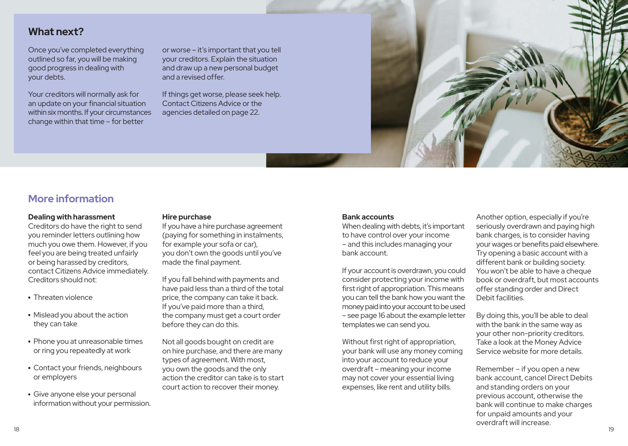### **What next?**

Once you've completed everything outlined so far, you will be making good progress in dealing with your debts.

Your creditors will normally ask for an update on your financial situation within six months. If your circumstances change within that time – for better

or worse – it's important that you tell your creditors. Explain the situation and draw up a new personal budget and a revised offer.

If things get worse, please seek help. Contact Citizens Advice or the agencies detailed on page 22.



### **More information**

### **Dealing with harassment**

Creditors do have the right to send you reminder letters outlining how much you owe them. However, if you feel you are being treated unfairly or being harassed by creditors, contact Citizens Advice immediately. Creditors should not:

- Threaten violence
- Mislead you about the action they can take
- Phone you at unreasonable times or ring you repeatedly at work
- Contact your friends, neighbours or employers
- Give anyone else your personal information without your permission.

#### **Hire purchase**

If you have a hire purchase agreement (paying for something in instalments, for example your sofa or car), you don't own the goods until you've made the final payment.

If you fall behind with payments and have paid less than a third of the total price, the company can take it back. If you've paid more than a third, the company must get a court order before they can do this.

Not all goods bought on credit are on hire purchase, and there are many types of agreement. With most, you own the goods and the only action the creditor can take is to start court action to recover their money.

### **Bank accounts**

When dealing with debts, it's important to have control over your income – and this includes managing your bank account.

If your account is overdrawn, you could consider protecting your income with first right of appropriation. This means you can tell the bank how you want the money paid into your account to be used – see page 16 about the example letter templates we can send you.

Without first right of appropriation, your bank will use any money coming into your account to reduce your overdraft – meaning your income may not cover your essential living expenses, like rent and utility bills.

Another option, especially if you're seriously overdrawn and paying high bank charges, is to consider having your wages or benefits paid elsewhere. Try opening a basic account with a different bank or building society. You won't be able to have a cheque book or overdraft, but most accounts offer standing order and Direct Debit facilities.

By doing this, you'll be able to deal with the bank in the same way as your other non-priority creditors. Take a look at the Money Advice Service website for more details.

Remember – if you open a new bank account, cancel Direct Debits and standing orders on your previous account, otherwise the bank will continue to make charges for unpaid amounts and your overdraft will increase.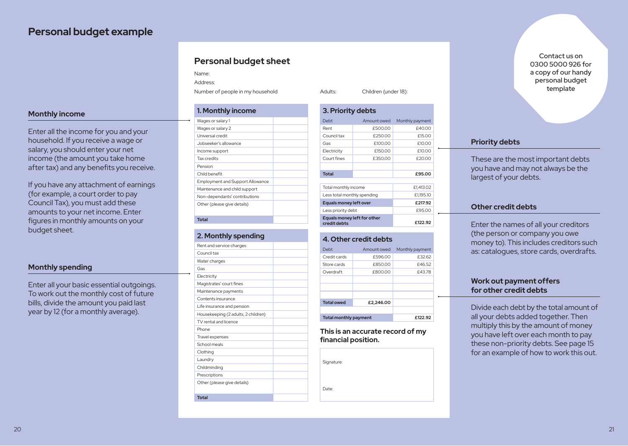### **Personal budget example**

### **Monthly income**

Enter all the income for you and your household. If you receive a wage or salary, you should enter your net income (the amount you take home after tax) and any benefits you receive.

If you have any attachment of earnings (for example, a court order to pay Council Tax), you must add these amounts to your net income. Enter figures in monthly amounts on your budget sheet.

### **Monthly spending**

Enter all your basic essential outgoings. To work out the monthly cost of future bills, divide the amount you paid last year by 12 (for a monthly average).

### **Personal budget sheet Personal budget sheet**

Name: Name: Address: Address:

Number of people in my household Adults: Children (under 18): Number of people in my household Adults: Children (under 18):

| 1. Monthly income                |  |
|----------------------------------|--|
| Wages or salary 1                |  |
| Wages or salary 2                |  |
| Universal credit                 |  |
| Jobseeker's allowance            |  |
| Income support                   |  |
| Tax credits                      |  |
| Pension                          |  |
| Child henefit                    |  |
| Employment and Support Allowance |  |
| Maintenance and child support    |  |
| Non-dependants' contributions    |  |
| Other (please give details)      |  |
|                                  |  |
| <b>Total</b>                     |  |

#### **2. Monthly spending 2. Monthly spending**

| Rent and service charges            |
|-------------------------------------|
| Council tax                         |
| Water charges                       |
| Gas                                 |
| Electricity                         |
| Magistrates' court fines            |
| Maintenance payments                |
| Contents insurance                  |
| Life insurance and pension          |
| Housekeeping (2 adults, 2 children) |
| TV rental and licence               |
| Phone                               |
| Travel expenses                     |
| School meals                        |
| Clothing                            |
| Laundry                             |
| Childminding                        |
| Prescriptions                       |
| Other (please give details)         |
|                                     |
| <b>Total</b>                        |

| 3. Priority debts                           |             |                 |  |
|---------------------------------------------|-------------|-----------------|--|
| Debt                                        | Amount owed | Monthly payment |  |
| Rent                                        | £500.00     | £40.00          |  |
| Council tax                                 | £250.00     | £15.00          |  |
| Gas                                         | £100.00     | £10.00          |  |
| Electricity                                 | £150.00     | £10.00          |  |
| Court fines                                 | £350.00     | £20.00          |  |
|                                             |             |                 |  |
| <b>Total</b>                                |             | £95.00          |  |
|                                             |             |                 |  |
| Total monthly income                        |             | £1,413.02       |  |
| Less total monthly spending                 |             | £1,195.10       |  |
| <b>Equals money left over</b>               |             | £217.92         |  |
| Less priority debt                          |             | £95.00          |  |
| Equals money left for other<br>credit debts |             | £122.92         |  |

#### **4. Other credit debts 4. Other credit debts**

| Debt                         | Amount owed | Monthly payment |
|------------------------------|-------------|-----------------|
| Credit cards                 | £596.00     | £32.62          |
| Store cards                  | £850.00     | £46.52          |
| Overdraft                    | £800.00     | £43.78          |
|                              |             |                 |
|                              |             |                 |
|                              |             |                 |
| <b>Total owed</b>            | £2,246.00   |                 |
|                              |             |                 |
| <b>Total monthly payment</b> |             | £122.92         |

**This is an accurate record of my This is an accurate record of my financial position. financial position.**

Signature: Signature:

Date: Date:

Contact us on 0300 5000 926 for a copy of our handy personal budget template

### **Priority debts**

These are the most important debts you have and may not always be the largest of your debts.

### **Other credit debts**

Enter the names of all your creditors (the person or company you owe money to). This includes creditors such as: catalogues, store cards, overdrafts.

### **Work out payment offers for other credit debts**

Divide each debt by the total amount of all your debts added together. Then multiply this by the amount of money you have left over each month to pay these non-priority debts. See page 15 for an example of how to work this out.

20  $\,$  20  $\,$  20  $\,$  20  $\,$  20  $\,$  20  $\,$  20  $\,$  20  $\,$  20  $\,$  20  $\,$  20  $\,$  20  $\,$  20  $\,$  20  $\,$  20  $\,$  20  $\,$  20  $\,$  20  $\,$  20  $\,$  20  $\,$  20  $\,$  20  $\,$  20  $\,$  20  $\,$  20  $\,$  20  $\,$  20  $\,$  20  $\$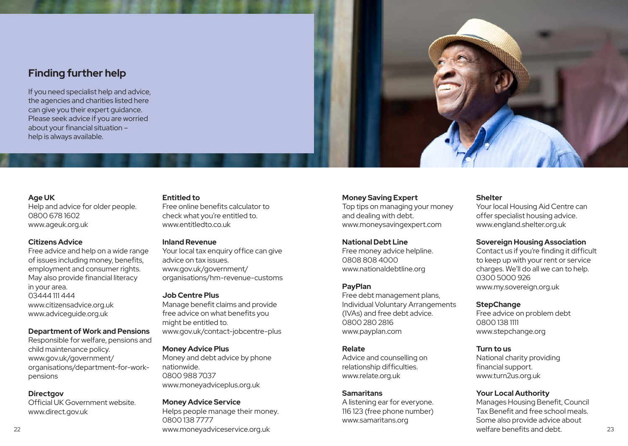### **Finding further help**

If you need specialist help and advice, the agencies and charities listed here can give you their expert guidance. Please seek advice if you are worried about your financial situation – help is always available.

#### **Entitled to**

Help and advice for older people. 0800 678 1602 www.ageuk.org.uk

### **Citizens Advice**

**Age UK** 

Free advice and help on a wide range of issues including money, benefits, employment and consumer rights. May also provide financial literacy in your area. 03444 111 444 www.citizensadvice.org.uk www.adviceguide.org.uk

#### **Department of Work and Pensions**

Responsible for welfare, pensions and child maintenance policy. www.gov.uk/government/ organisations/department-for-workpensions

#### **Directgov**

Official UK Government website. www.direct.gov.uk

Free online benefits calculator to check what you're entitled to. www.entitledto.co.uk

#### **Inland Revenue**

Your local tax enquiry office can give advice on tax issues. www.gov.uk/government/ organisations/hm-revenue-customs

#### **Job Centre Plus**

Manage benefit claims and provide free advice on what benefits you might be entitled to. www.gov.uk/contact-jobcentre-plus

#### **Money Advice Plus**

Money and debt advice by phone nationwide. 0800 988 7037 www.moneyadviceplus.org.uk

**Money Advice Service**  Helps people manage their money. 0800 138 7777 www.moneyadviceservice.org.uk 22 23

#### **Money Saving Expert**

Top tips on managing your money and dealing with debt. www.moneysavingexpert.com

### **National Debt Line**

Free money advice helpline. 0808 808 4000 www.nationaldebtline.org

### **PayPlan**

Free debt management plans, Individual Voluntary Arrangements (IVAs) and free debt advice. 0800 280 2816 www.payplan.com

#### **Relate**

Advice and counselling on relationship difficulties. www.relate.org.uk

### **Samaritans**

A listening ear for everyone. 116 123 (free phone number) www.samaritans.org

### **Shelter**

Your local Housing Aid Centre can offer specialist housing advice. www.england.shelter.org.uk

#### **Sovereign Housing Association**

Contact us if you're finding it difficult to keep up with your rent or service charges. We'll do all we can to help. 0300 5000 926 www.my.sovereign.org.uk

#### **StepChange**

Free advice on problem debt 0800 138 1111 www.stepchange.org

#### **Turn to us**

National charity providing financial support. www.turn2us.org.uk

### **Your Local Authority**

Manages Housing Benefit, Council Tax Benefit and free school meals. Some also provide advice about welfare benefits and debt.